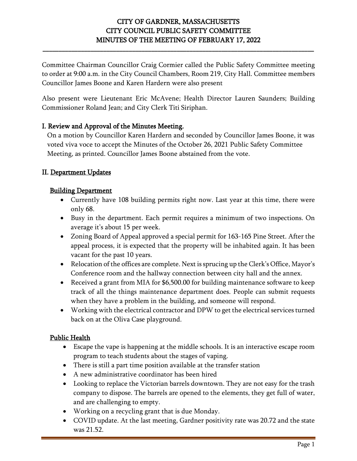# CITY OF GARDNER, MASSACHUSETTS CITY COUNCIL PUBLIC SAFETY COMMITTEE MINUTES OF THE MEETING OF FEBRUARY 17, 2022

**\_\_\_\_\_\_\_\_\_\_\_\_\_\_\_\_\_\_\_\_\_\_\_\_\_\_\_\_\_\_\_\_\_\_\_\_\_\_\_\_\_\_\_\_\_\_\_\_\_\_\_\_\_\_\_\_\_\_\_\_\_\_\_\_\_\_\_\_\_\_\_\_\_\_\_\_\_\_\_\_\_\_\_\_\_**

Committee Chairman Councillor Craig Cormier called the Public Safety Committee meeting to order at 9:00 a.m. in the City Council Chambers, Room 219, City Hall. Committee members Councillor James Boone and Karen Hardern were also present

Also present were Lieutenant Eric McAvene; Health Director Lauren Saunders; Building Commissioner Roland Jean; and City Clerk Titi Siriphan.

## I. Review and Approval of the Minutes Meeting.

On a motion by Councillor Karen Hardern and seconded by Councillor James Boone, it was voted viva voce to accept the Minutes of the October 26, 2021 Public Safety Committee Meeting, as printed. Councillor James Boone abstained from the vote.

#### II. Department Updates

#### Building Department

- Currently have 108 building permits right now. Last year at this time, there were only 68.
- Busy in the department. Each permit requires a minimum of two inspections. On average it's about 15 per week.
- Zoning Board of Appeal approved a special permit for 163-165 Pine Street. After the appeal process, it is expected that the property will be inhabited again. It has been vacant for the past 10 years.
- Relocation of the offices are complete. Next is sprucing up the Clerk's Office, Mayor's Conference room and the hallway connection between city hall and the annex.
- Received a grant from MIA for \$6,500.00 for building maintenance software to keep track of all the things maintenance department does. People can submit requests when they have a problem in the building, and someone will respond.
- Working with the electrical contractor and DPW to get the electrical services turned back on at the Oliva Case playground.

#### Public Health

- Escape the vape is happening at the middle schools. It is an interactive escape room program to teach students about the stages of vaping.
- There is still a part time position available at the transfer station
- A new administrative coordinator has been hired
- Looking to replace the Victorian barrels downtown. They are not easy for the trash company to dispose. The barrels are opened to the elements, they get full of water, and are challenging to empty.
- Working on a recycling grant that is due Monday.
- COVID update. At the last meeting, Gardner positivity rate was 20.72 and the state was 21.52.